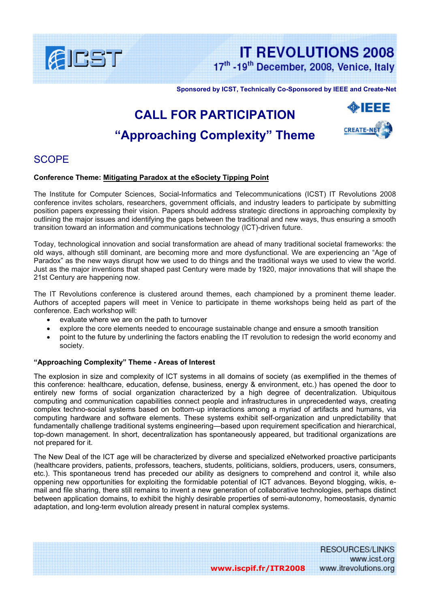

**IT REVOLUTIONS 2008** 17th -19th December, 2008, Venice, Italy

**Sponsored by ICST, Technically Co-Sponsored by IEEE and Create-Net** 

# **CALL FOR PARTICIPATION "Approaching Complexity" Theme**



## SCOPE

#### **Conference Theme: Mitigating Paradox at the eSociety Tipping Point**

The Institute for Computer Sciences, Social-Informatics and Telecommunications (ICST) IT Revolutions 2008 conference invites scholars, researchers, government officials, and industry leaders to participate by submitting position papers expressing their vision. Papers should address strategic directions in approaching complexity by outlining the major issues and identifying the gaps between the traditional and new ways, thus ensuring a smooth transition toward an information and communications technology (ICT)-driven future.

Today, technological innovation and social transformation are ahead of many traditional societal frameworks: the old ways, although still dominant, are becoming more and more dysfunctional. We are experiencing an "Age of Paradox" as the new ways disrupt how we used to do things and the traditional ways we used to view the world. Just as the major inventions that shaped past Century were made by 1920, major innovations that will shape the 21st Century are happening now.

The IT Revolutions conference is clustered around themes, each championed by a prominent theme leader. Authors of accepted papers will meet in Venice to participate in theme workshops being held as part of the conference. Each workshop will:

- evaluate where we are on the path to turnover
- explore the core elements needed to encourage sustainable change and ensure a smooth transition
- point to the future by underlining the factors enabling the IT revolution to redesign the world economy and society.

#### **"Approaching Complexity" Theme - Areas of Interest**

The explosion in size and complexity of ICT systems in all domains of society (as exemplified in the themes of this conference: healthcare, education, defense, business, energy & environment, etc.) has opened the door to entirely new forms of social organization characterized by a high degree of decentralization. Ubiquitous computing and communication capabilities connect people and infrastructures in unprecedented ways, creating complex techno-social systems based on bottom-up interactions among a myriad of artifacts and humans, via computing hardware and software elements. These systems exhibit self-organization and unpredictability that fundamentally challenge traditional systems engineering—based upon requirement specification and hierarchical, top-down management. In short, decentralization has spontaneously appeared, but traditional organizations are not prepared for it.

The New Deal of the ICT age will be characterized by diverse and specialized eNetworked proactive participants (healthcare providers, patients, professors, teachers, students, politicians, soldiers, producers, users, consumers, etc.). This spontaneous trend has preceded our ability as designers to comprehend and control it, while also oppening new opportunities for exploiting the formidable potential of ICT advances. Beyond blogging, wikis, email and file sharing, there still remains to invent a new generation of collaborative technologies, perhaps distinct between application domains, to exhibit the highly desirable properties of semi-autonomy, homeostasis, dynamic adaptation, and long-term evolution already present in natural complex systems.